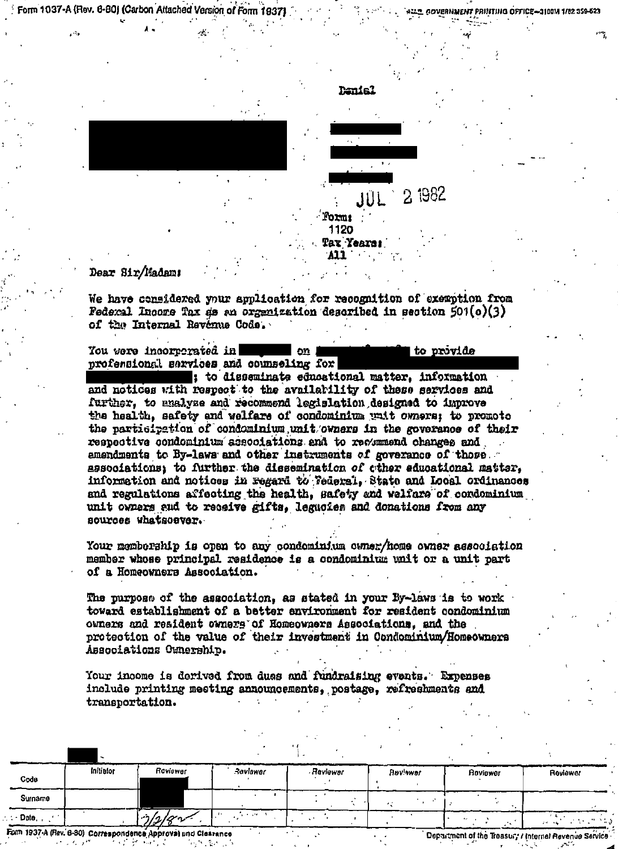Form 1037-A (Rev. 6-80) (Carbon Attached Version of Form 193)

*JERNMENT PRINTING OFFICE-*310014 1/82 359-523



to provide

## Dear Sir/Madamı

We have considered your application for recognition of exemption from Federal Incore Tax as an organization described in section  $501(o)(3)$ of the Internal Revenue Code.

You were incorrerated in l on profensional services and counseling for

sto disseminate educational matter, information and notices with respect to the availability of these services and further, to analyze and recommend legislation designed to improve the health, safety and welfare of condominium wait owners: to promote the participation of condominium unit/owners in the goverance of their respective condominium associations and to revemmend changes and amendments to By-laws and other instruments of goverance of those associations: to further the dissemination of ether educational matter. information and notices in regard to Tederal, State and Local ordinances and regulations affecting the health. Safety and welfars of condominium unit owners and to receive gifts, leguoies and donations from any sources whatscever.

Your membership is open to any condeminium coner/home owner association member whose principal residence is a condominium unit or a unit part of a Homeowners Association.

The purpose of the association, as stated in your By-laws is to work toward establishment of a better environment for resident condominium owners and resident owners of Homeowners Associations, and the protection of the value of their investment in Condominium/Homeowners Associations Ownership.

Your income is derived from dues and fundraising events. Expenses include printing meeting announcements, postage, refreshments and transportation.

| Code    | Infuetor | Roviewer | Raviawar | . Reviewer | <b>Havlower</b> | Roviewer | Reviewer |
|---------|----------|----------|----------|------------|-----------------|----------|----------|
| Surname |          |          |          |            |                 |          |          |
| : Date  |          | 7/2/8    |          |            |                 |          | n tale   |

Department of the Treasury / Internal Revenue Service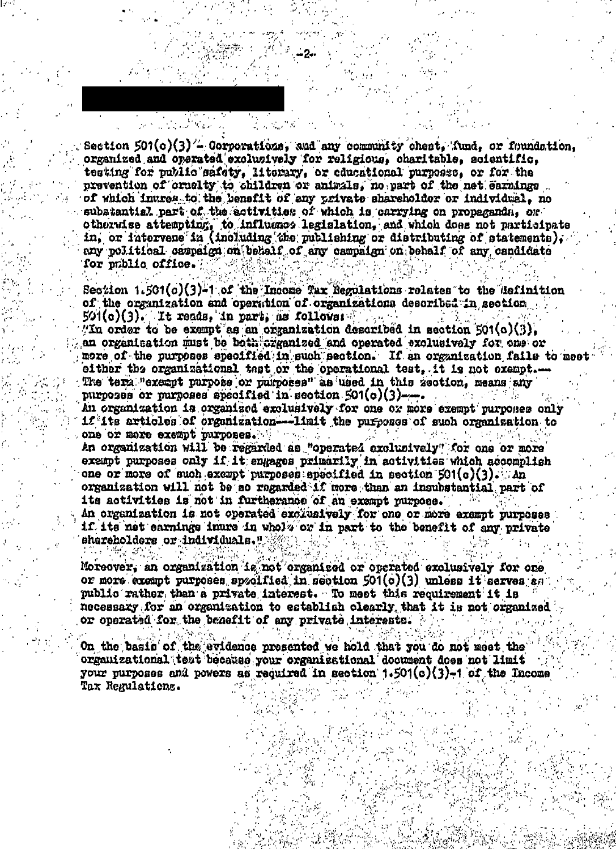Section 501(c)(3)'- Corporations, and any community chest, fund, or foundation, organized and operated exclusively for religious, charitable, scientific, testing for public safety. literary, or educational purposss, or for the prevention of cruelty to children or animals, no part of the net earnings of which inures to the benefit of any private shareholder or individual, no subatantial part of the estivities of which is carrying on propagands, or otherwise attempting, to influence legislation, and which does not participate in, or intervene in (including the publishing or distributing of statements), any political campaign on behalf of any campaign on behalf of any candidate for public office.

Section 1.501(c)(3)-1 of the Income Tax Regulations rolates to the definition of the organization and operation of organizations described in section  $501(c)(3)$ . It reads, in part, as follows: "In order to be exampt as an organization described in section 501(c)(3). an organization must be both organized and operated exclusively for one or more of the purposes specified in such section. If an organization fails to mee either the organisational test or the operational test. it is not exampt..... The term "exempt purpose or purposes" as used in this zeotion, means any purposes or purposes specified in section 501(c)(3)-....

An organization is organized exclusively for one or more exempt purposes only if its articles of organization---limit the purposes of such organization to one or more exempt purposes.

An organization will be regarded as "operated exclusively" for one or more exampt purposes only if it engages primarily in activities which accomplish one or more of such except purposes specified in section  $501(a)(3)$ . An organization will not be so regarded if more than an insubstantial part of its activities is not in furtherance of an exempt purpose. An organization is not operated exclusively for one or more exempt purposes if its net carnings inure in whole or in part to the benefit of any private

shareholders or individuals."

Moreover, an organization is not organized or operated exclusively for one or more excapt purposes spzolfied in section 501(c)(3) unless it serves an public rather than a private interest. To meet this requirement it is necessary for an organization to establish clearly that it is not organized or operated for the benefit of any private interests.

On the basic of the evidence presented we hold that you do not meet the organizational tezt because your organizational document does not limit your purposes and powers an required in section  $1.501(c)(3)-1$  of the Income Tax Regulations.